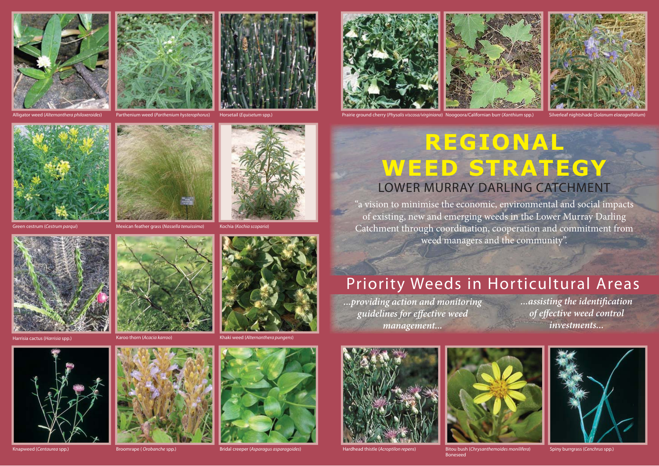





Horsetail (Equisetum spp.)







Alligator weed (Alternanthera philoxeroides) Parthenium weed (Parthenium hysterophorus) Horsetail (Equisetum spp.) Prairie ground cherry (Physalis viscosa/virginiana) Noogoora/Californian burr (Xanthium spp.) Silverleaf ni Noogoora/Californian burr (Xanthium spp.)





Mexican feather grass (Nassella tenuissima) Kochia (Kochia scoparia











Knapweed (Centaurea spp.) Broomrape ( Orobanche spp.) Bridal creeper (Asparagus asparagoides)



a cactus (Harrisia spp.) Karoo thorn (Acacia karroo) Khaki weed (Alternanthera pungens)





"a vision to minimise the economic, environmental and social impacts of existing, new and emerging weeds in the Lower Murray Darling Catchment through coordination, cooperation and commitment from weed managers and the community".

## Priority Weeds in Horticultural Areas

*...providing action and monitoring guidelines for eff ective weed management...*

*...assisting the identifi cation*   $of$  *effective weed control investments...*



ad thistle (Acroptilon repens)



Boneseed



 $\mathbf{B}_{\text{ls}}$  (Chrysanthemoides monilifera) Spiny burrarass (Cenchrus spp.)